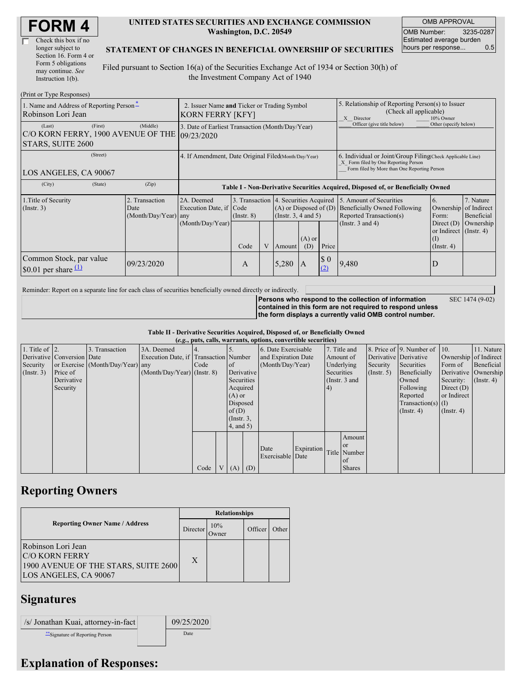| <b>FORM4</b> |  |
|--------------|--|
|--------------|--|

| Check this box if no  |
|-----------------------|
| longer subject to     |
| Section 16. Form 4 or |
| Form 5 obligations    |
| may continue. See     |
| Instruction 1(b).     |

#### **UNITED STATES SECURITIES AND EXCHANGE COMMISSION Washington, D.C. 20549**

OMB APPROVAL OMB Number: 3235-0287 Estimated average burden hours per response... 0.5

SEC 1474 (9-02)

#### **STATEMENT OF CHANGES IN BENEFICIAL OWNERSHIP OF SECURITIES**

Filed pursuant to Section 16(a) of the Securities Exchange Act of 1934 or Section 30(h) of the Investment Company Act of 1940

| (Print or Type Responses)                                                    |                                                                        |                                                                 |                         |   |                                                                                                                                   |              |                                                                                                                                                    |                                                                                                              |                                                                                                              |                                                     |  |
|------------------------------------------------------------------------------|------------------------------------------------------------------------|-----------------------------------------------------------------|-------------------------|---|-----------------------------------------------------------------------------------------------------------------------------------|--------------|----------------------------------------------------------------------------------------------------------------------------------------------------|--------------------------------------------------------------------------------------------------------------|--------------------------------------------------------------------------------------------------------------|-----------------------------------------------------|--|
| 1. Name and Address of Reporting Person-<br>Robinson Lori Jean               | 2. Issuer Name and Ticker or Trading Symbol<br><b>KORN FERRY [KFY]</b> |                                                                 |                         |   |                                                                                                                                   |              | 5. Relationship of Reporting Person(s) to Issuer<br>(Check all applicable)<br>X Director<br>10% Owner                                              |                                                                                                              |                                                                                                              |                                                     |  |
| (First)<br>(Last)<br>C/O KORN FERRY, 1900 AVENUE OF THE<br>STARS, SUITE 2600 | (Middle)                                                               | 3. Date of Earliest Transaction (Month/Day/Year)<br>109/23/2020 |                         |   |                                                                                                                                   |              | Officer (give title below)                                                                                                                         | Other (specify below)                                                                                        |                                                                                                              |                                                     |  |
| (Street)<br>LOS ANGELES, CA 90067                                            | 4. If Amendment, Date Original Filed Month/Day/Year)                   |                                                                 |                         |   |                                                                                                                                   |              | 6. Individual or Joint/Group Filing(Check Applicable Line)<br>X Form filed by One Reporting Person<br>Form filed by More than One Reporting Person |                                                                                                              |                                                                                                              |                                                     |  |
| (City)<br>(State)                                                            | (Zip)                                                                  |                                                                 |                         |   |                                                                                                                                   |              |                                                                                                                                                    | Table I - Non-Derivative Securities Acquired, Disposed of, or Beneficially Owned                             |                                                                                                              |                                                     |  |
| 1. Title of Security<br>(Insert. 3)                                          | 2. Transaction<br>Date<br>(Month/Day/Year) any                         | 2A. Deemed<br>Execution Date, if Code<br>(Month/Day/Year)       | $($ Instr. $8)$<br>Code | V | 3. Transaction 4. Securities Acquired<br>$(A)$ or Disposed of $(D)$<br>(Insert. 3, 4 and 5)<br>$(A)$ or<br>Price<br>(D)<br>Amount |              |                                                                                                                                                    | 15. Amount of Securities<br>Beneficially Owned Following<br>Reported Transaction(s)<br>(Instr. $3$ and $4$ ) | 6.<br>Ownership<br>Form:<br>Direct $(D)$<br>or Indirect $($ Instr. 4 $)$<br>$\rm _{(1)}$<br>$($ Instr. 4 $)$ | 7. Nature<br>of Indirect<br>Beneficial<br>Ownership |  |
| Common Stock, par value<br>\$0.01 per share $(1)$                            | 09/23/2020                                                             |                                                                 | A                       |   | 5,280                                                                                                                             | $\mathbf{A}$ | $\Omega$<br>(2)                                                                                                                                    | 9,480                                                                                                        | D                                                                                                            |                                                     |  |

Reminder: Report on a separate line for each class of securities beneficially owned directly or indirectly.

**Persons who respond to the collection of information contained in this form are not required to respond unless the form displays a currently valid OMB control number.**

**Table II - Derivative Securities Acquired, Disposed of, or Beneficially Owned**

|                        | (e.g., puts, calls, warrants, options, convertible securities) |                                  |                                       |      |  |                  |                     |                          |            |               |                       |               |                              |                      |                  |
|------------------------|----------------------------------------------------------------|----------------------------------|---------------------------------------|------|--|------------------|---------------------|--------------------------|------------|---------------|-----------------------|---------------|------------------------------|----------------------|------------------|
| 1. Title of $\vert$ 2. |                                                                | 3. Transaction                   | 3A. Deemed                            |      |  |                  |                     | 6. Date Exercisable      |            |               | 7. Title and          |               | 8. Price of 9. Number of 10. |                      | 11. Nature       |
|                        | Derivative Conversion Date                                     |                                  | Execution Date, if Transaction Number |      |  |                  | and Expiration Date |                          | Amount of  |               | Derivative Derivative |               | Ownership of Indirect        |                      |                  |
| Security               |                                                                | or Exercise (Month/Day/Year) any |                                       | Code |  | of               | (Month/Day/Year)    |                          | Underlying |               | Security              | Securities    | Form of                      | Beneficial           |                  |
| (Insert. 3)            | Price of                                                       |                                  | $(Month/Day/Year)$ (Instr. 8)         |      |  | Derivative       |                     |                          |            | Securities    |                       | $($ Instr. 5) | Beneficially                 | Derivative Ownership |                  |
|                        | Derivative                                                     |                                  |                                       |      |  | Securities       |                     |                          |            | (Instr. 3 and |                       |               | Owned                        | Security:            | $($ Instr. 4 $)$ |
|                        | Security                                                       |                                  |                                       |      |  | Acquired         |                     |                          |            | 4)            |                       |               | Following                    | Direct $(D)$         |                  |
|                        |                                                                |                                  |                                       |      |  | $(A)$ or         |                     |                          |            |               |                       |               | Reported                     | or Indirect          |                  |
|                        |                                                                |                                  |                                       |      |  | Disposed         |                     |                          |            |               |                       |               | $Transaction(s)$ (I)         |                      |                  |
|                        |                                                                |                                  |                                       |      |  | of(D)            |                     |                          |            |               |                       |               | $($ Instr. 4 $)$             | $($ Instr. 4 $)$     |                  |
|                        |                                                                |                                  |                                       |      |  | $($ Instr. $3$ , |                     |                          |            |               |                       |               |                              |                      |                  |
|                        |                                                                |                                  |                                       |      |  | 4, and 5)        |                     |                          |            |               |                       |               |                              |                      |                  |
|                        |                                                                |                                  |                                       |      |  |                  |                     |                          |            |               | Amount                |               |                              |                      |                  |
|                        |                                                                |                                  |                                       |      |  |                  |                     |                          | Expiration |               | <sub>or</sub>         |               |                              |                      |                  |
|                        |                                                                |                                  |                                       |      |  |                  |                     | Date<br>Exercisable Date |            |               | Title Number          |               |                              |                      |                  |
|                        |                                                                |                                  |                                       |      |  |                  |                     |                          |            |               | of                    |               |                              |                      |                  |
|                        |                                                                |                                  |                                       | Code |  | $(A)$ $(D)$      |                     |                          |            |               | <b>Shares</b>         |               |                              |                      |                  |

### **Reporting Owners**

|                                                                                                              | <b>Relationships</b> |              |         |       |  |  |  |
|--------------------------------------------------------------------------------------------------------------|----------------------|--------------|---------|-------|--|--|--|
| <b>Reporting Owner Name / Address</b>                                                                        | Director             | 10%<br>Jwner | Officer | Other |  |  |  |
| Robinson Lori Jean<br><b>C/O KORN FERRY</b><br>1900 AVENUE OF THE STARS, SUITE 2600<br>LOS ANGELES, CA 90067 | X                    |              |         |       |  |  |  |

## **Signatures**

| /s/ Jonathan Kuai, attorney-in-fact | 09/25/2020 |
|-------------------------------------|------------|
| ** Signature of Reporting Person    | Date       |

# **Explanation of Responses:**